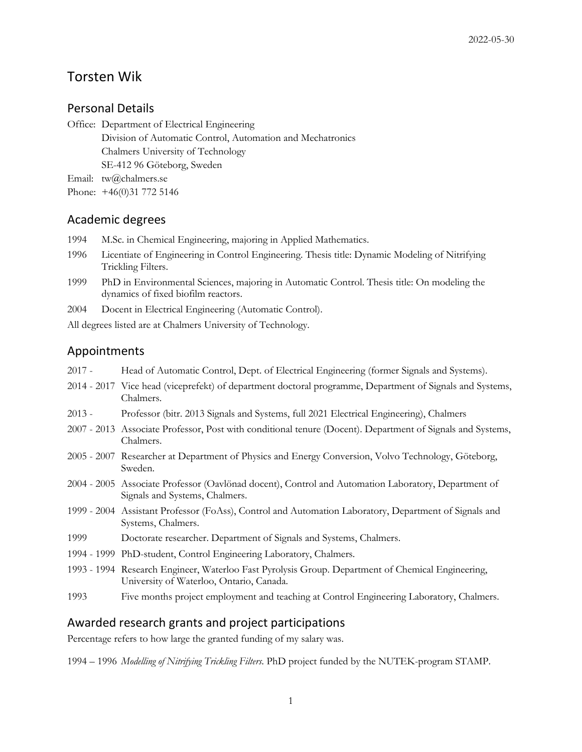## Torsten Wik

### Personal Details

Office: Department of Electrical Engineering Division of Automatic Control, Automation and Mechatronics Chalmers University of Technology SE-412 96 Göteborg, Sweden Email: tw@chalmers.se

Phone: +46(0)31 772 5146

### Academic degrees

- 1994 M.Sc. in Chemical Engineering, majoring in Applied Mathematics.
- 1996 Licentiate of Engineering in Control Engineering. Thesis title: Dynamic Modeling of Nitrifying Trickling Filters.
- 1999 PhD in Environmental Sciences, majoring in Automatic Control. Thesis title: On modeling the dynamics of fixed biofilm reactors.
- 2004 Docent in Electrical Engineering (Automatic Control).

All degrees listed are at Chalmers University of Technology.

### Appointments

- 2017 Head of Automatic Control, Dept. of Electrical Engineering (former Signals and Systems).
- 2014 2017 Vice head (viceprefekt) of department doctoral programme, Department of Signals and Systems, Chalmers.
- 2013 Professor (bitr. 2013 Signals and Systems, full 2021 Electrical Engineering), Chalmers
- 2007 2013 Associate Professor, Post with conditional tenure (Docent). Department of Signals and Systems, Chalmers.
- 2005 2007 Researcher at Department of Physics and Energy Conversion, Volvo Technology, Göteborg, Sweden.
- 2004 2005 Associate Professor (Oavlönad docent), Control and Automation Laboratory, Department of Signals and Systems, Chalmers.
- 1999 2004 Assistant Professor (FoAss), Control and Automation Laboratory, Department of Signals and Systems, Chalmers.
- 1999 Doctorate researcher. Department of Signals and Systems, Chalmers.
- 1994 1999 PhD-student, Control Engineering Laboratory, Chalmers.
- 1993 1994 Research Engineer, Waterloo Fast Pyrolysis Group. Department of Chemical Engineering, University of Waterloo, Ontario, Canada.
- 1993 Five months project employment and teaching at Control Engineering Laboratory, Chalmers.

### Awarded research grants and project participations

Percentage refers to how large the granted funding of my salary was.

1994 – 1996 *Modelling of Nitrifying Trickling Filters.* PhD project funded by the NUTEK-program STAMP.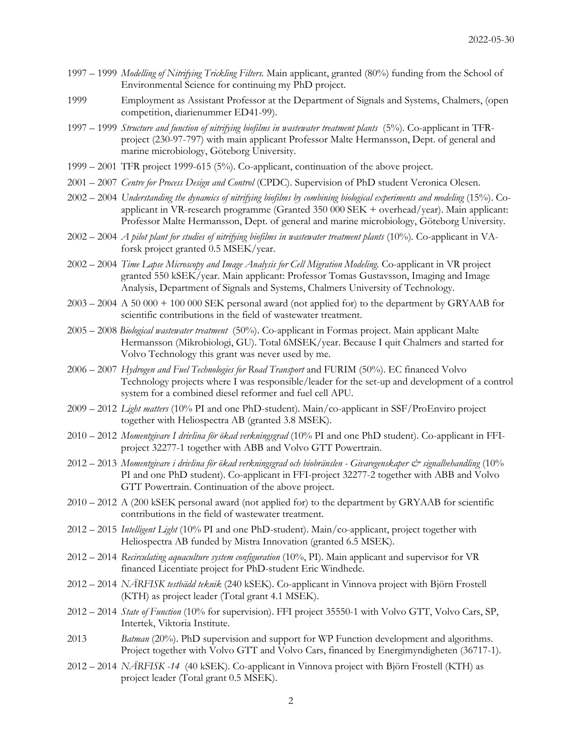- 1997 1999 *Modelling of Nitrifying Trickling Filters.* Main applicant, granted (80%) funding from the School of Environmental Science for continuing my PhD project.
- 1999 Employment as Assistant Professor at the Department of Signals and Systems, Chalmers, (open competition, diarienummer ED41-99).
- 1997 1999 *Structure and function of nitrifying biofilms in wastewater treatment plants* (5%)*.* Co-applicant in TFRproject (230-97-797) with main applicant Professor Malte Hermansson, Dept. of general and marine microbiology, Göteborg University.
- 1999 2001 TFR project 1999-615 (5%). Co-applicant, continuation of the above project.
- 2001 2007 *Centre for Process Design and Control* (CPDC). Supervision of PhD student Veronica Olesen.
- 2002 2004 *Understanding the dynamics of nitrifying biofilms by combining biological experiments and modeling* (15%). Coapplicant in VR-research programme (Granted 350 000 SEK + overhead/year). Main applicant: Professor Malte Hermansson, Dept. of general and marine microbiology, Göteborg University.
- 2002 2004 *A pilot plant for studies of nitrifying biofilms in wastewater treatment plants* (10%)*.* Co-applicant in VAforsk project granted 0.5 MSEK/year.
- 2002 2004 *Time Lapse Microscopy and Image Analysis for Cell Migration Modeling*. Co-applicant in VR project granted 550 kSEK/year. Main applicant: Professor Tomas Gustavsson, Imaging and Image Analysis, Department of Signals and Systems, Chalmers University of Technology.
- 2003 2004 A 50 000 + 100 000 SEK personal award (not applied for) to the department by GRYAAB for scientific contributions in the field of wastewater treatment.
- 2005 2008 *Biological wastewater treatment* (50%). Co-applicant in Formas project. Main applicant Malte Hermansson (Mikrobiologi, GU). Total 6MSEK/year. Because I quit Chalmers and started for Volvo Technology this grant was never used by me.
- 2006 2007 *Hydrogen and Fuel Technologies for Road Transport* and FURIM (50%). EC financed Volvo Technology projects where I was responsible/leader for the set-up and development of a control system for a combined diesel reformer and fuel cell APU.
- 2009 2012 *Light matters* (10% PI and one PhD-student)*.* Main/co-applicant in SSF/ProEnviro project together with Heliospectra AB (granted 3.8 MSEK).
- 2010 2012 *Momentgivare I drivlina för ökad verkningsgrad* (10% PI and one PhD student). Co-applicant in FFIproject 32277-1 together with ABB and Volvo GTT Powertrain.
- 2012 2013 *Momentgivare i drivlina för ökad verkningsgrad och biobränslen - Givaregenskaper & signalbehandling* (10% PI and one PhD student). Co-applicant in FFI-project 32277-2 together with ABB and Volvo GTT Powertrain. Continuation of the above project.
- 2010 2012 A (200 kSEK personal award (not applied for) to the department by GRYAAB for scientific contributions in the field of wastewater treatment.
- 2012 2015 *Intelligent Light* (10% PI and one PhD-student). Main/co-applicant, project together with Heliospectra AB funded by Mistra Innovation (granted 6.5 MSEK).
- 2012 2014 *Recirculating aquaculture system configuration* (10%, PI). Main applicant and supervisor for VR financed Licentiate project for PhD-student Eric Windhede.
- 2012 2014 *NÄRFISK testbädd teknik* (240 kSEK). Co-applicant in Vinnova project with Björn Frostell (KTH) as project leader (Total grant 4.1 MSEK).
- 2012 2014 *State of Function* (10% for supervision). FFI project 35550-1 with Volvo GTT, Volvo Cars, SP, Intertek, Viktoria Institute.
- 2013 *Batman* (20%). PhD supervision and support for WP Function development and algorithms. Project together with Volvo GTT and Volvo Cars, financed by Energimyndigheten (36717-1).
- 2012 2014 *NÄRFISK -14* (40 kSEK). Co-applicant in Vinnova project with Björn Frostell (KTH) as project leader (Total grant 0.5 MSEK).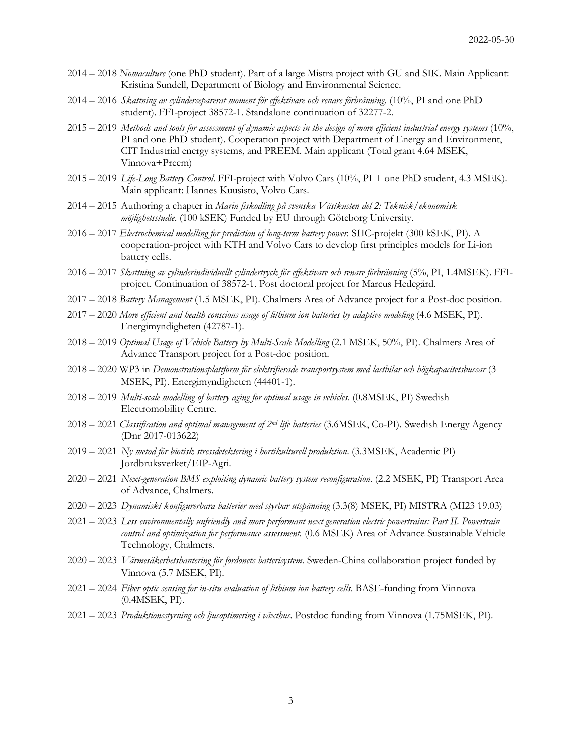- 2014 2018 *Nomaculture* (one PhD student). Part of a large Mistra project with GU and SIK. Main Applicant: Kristina Sundell, Department of Biology and Environmental Science.
- 2014 2016 *Skattning av cylinderseparerat moment för effektivare och renare förbränning*. (10%, PI and one PhD student). FFI-project 38572-1. Standalone continuation of 32277-2.
- 2015 2019 *Methods and tools for assessment of dynamic aspects in the design of more efficient industrial energy systems* (10%, PI and one PhD student). Cooperation project with Department of Energy and Environment, CIT Industrial energy systems, and PREEM. Main applicant (Total grant 4.64 MSEK, Vinnova+Preem)
- 2015 2019 *Life-Long Battery Control*. FFI-project with Volvo Cars (10%, PI + one PhD student, 4.3 MSEK). Main applicant: Hannes Kuusisto, Volvo Cars.
- 2014 2015 Authoring a chapter in *Marin fiskodling på svenska Västkusten del 2: Teknisk/ekonomisk möjlighetsstudie*. (100 kSEK) Funded by EU through Göteborg University.
- 2016 2017 *Electrochemical modelling for prediction of long-term battery power.* SHC-projekt (300 kSEK, PI). A cooperation-project with KTH and Volvo Cars to develop first principles models for Li-ion battery cells.
- 2016 2017 *Skattning av cylinderindividuellt cylindertryck för effektivare och renare förbränning* (5%, PI, 1.4MSEK). FFIproject. Continuation of 38572-1. Post doctoral project for Marcus Hedegärd.
- 2017 2018 *Battery Management* (1.5 MSEK, PI). Chalmers Area of Advance project for a Post-doc position.
- 2017 2020 *More efficient and health conscious usage of lithium ion batteries by adaptive modeling* (4.6 MSEK, PI). Energimyndigheten (42787-1).
- 2018 2019 *Optimal Usage of Vehicle Battery by Multi-Scale Modelling* (2.1 MSEK, 50%, PI). Chalmers Area of Advance Transport project for a Post-doc position.
- 2018 2020 WP3 in *Demonstrationsplattform för elektrifierade transportsystem med lastbilar och högkapacitetsbussar* (3 MSEK, PI). Energimyndigheten (44401-1).
- 2018 2019 *Multi-scale modelling of battery aging for optimal usage in vehicles*. (0.8MSEK, PI) Swedish Electromobility Centre.
- 2018 2021 *Classification and optimal management of 2nd life batteries* (3.6MSEK, Co-PI). Swedish Energy Agency (Dnr 2017-013622)
- 2019 2021 *Ny metod för biotisk stressdetektering i hortikulturell produktion*. (3.3MSEK, Academic PI) Jordbruksverket/EIP-Agri.
- 2020 2021 *Next-generation BMS exploiting dynamic battery system reconfiguration*. (2.2 MSEK, PI) Transport Area of Advance, Chalmers.
- 2020 2023 *Dynamiskt konfigurerbara batterier med styrbar utspänning* (3.3(8) MSEK, PI) MISTRA (MI23 19.03)
- 2021 2023 *Less environmentally unfriendly and more performant next generation electric powertrains: Part II. Powertrain control and optimization for performance assessment.* (0.6 MSEK) Area of Advance Sustainable Vehicle Technology, Chalmers.
- 2020 2023 *Värmesäkerhetshantering för fordonets batterisystem*. Sweden-China collaboration project funded by Vinnova (5.7 MSEK, PI).
- 2021 2024 *Fiber optic sensing for in-situ evaluation of lithium ion battery cells*. BASE-funding from Vinnova (0.4MSEK, PI).
- 2021 2023 *Produktionsstyrning och ljusoptimering i växthus*. Postdoc funding from Vinnova (1.75MSEK, PI).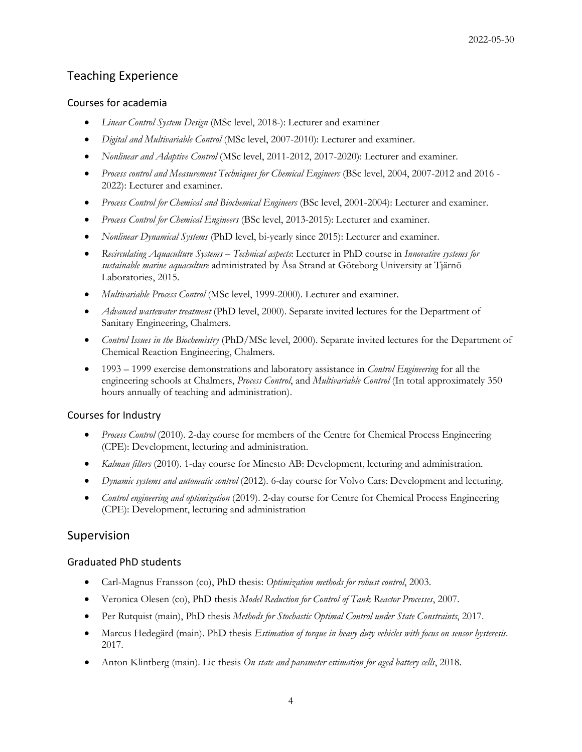## Teaching Experience

### Courses for academia

- *Linear Control System Design* (MSc level, 2018-): Lecturer and examiner
- *Digital and Multivariable Control* (MSc level, 2007-2010): Lecturer and examiner.
- *Nonlinear and Adaptive Control* (MSc level, 2011-2012, 2017-2020): Lecturer and examiner.
- *Process control and Measurement Techniques for Chemical Engineers* (BSc level, 2004, 2007-2012 and 2016 2022): Lecturer and examiner.
- *Process Control for Chemical and Biochemical Engineers* (BSc level, 2001-2004): Lecturer and examiner.
- *Process Control for Chemical Engineers* (BSc level, 2013-2015): Lecturer and examiner.
- *Nonlinear Dynamical Systems* (PhD level, bi-yearly since 2015): Lecturer and examiner.
- *Recirculating Aquaculture Systems – Technical aspects*: Lecturer in PhD course in *Innovative systems for sustainable marine aquaculture* administrated by Åsa Strand at Göteborg University at Tjärnö Laboratories, 2015.
- *Multivariable Process Control* (MSc level, 1999-2000). Lecturer and examiner.
- *Advanced wastewater treatment* (PhD level, 2000). Separate invited lectures for the Department of Sanitary Engineering, Chalmers.
- *Control Issues in the Biochemistry* (PhD/MSc level, 2000). Separate invited lectures for the Department of Chemical Reaction Engineering, Chalmers.
- 1993 1999 exercise demonstrations and laboratory assistance in *Control Engineering* for all the engineering schools at Chalmers, *Process Control*, and *Multivariable Control* (In total approximately 350 hours annually of teaching and administration).

### Courses for Industry

- *Process Control* (2010). 2-day course for members of the Centre for Chemical Process Engineering (CPE): Development, lecturing and administration.
- *Kalman filters* (2010). 1-day course for Minesto AB: Development, lecturing and administration.
- *Dynamic systems and automatic control* (2012). 6-day course for Volvo Cars: Development and lecturing.
- *Control engineering and optimization* (2019). 2-day course for Centre for Chemical Process Engineering (CPE): Development, lecturing and administration

## Supervision

#### Graduated PhD students

- Carl-Magnus Fransson (co), PhD thesis: *Optimization methods for robust control*, 2003.
- Veronica Olesen (co), PhD thesis *Model Reduction for Control of Tank Reactor Processes*, 2007.
- Per Rutquist (main), PhD thesis *Methods for Stochastic Optimal Control under State Constraints*, 2017.
- Marcus Hedegärd (main). PhD thesis *Estimation of torque in heavy duty vehicles with focus on sensor hysteresis*. 2017.
- Anton Klintberg (main). Lic thesis *On state and parameter estimation for aged battery cells*, 2018.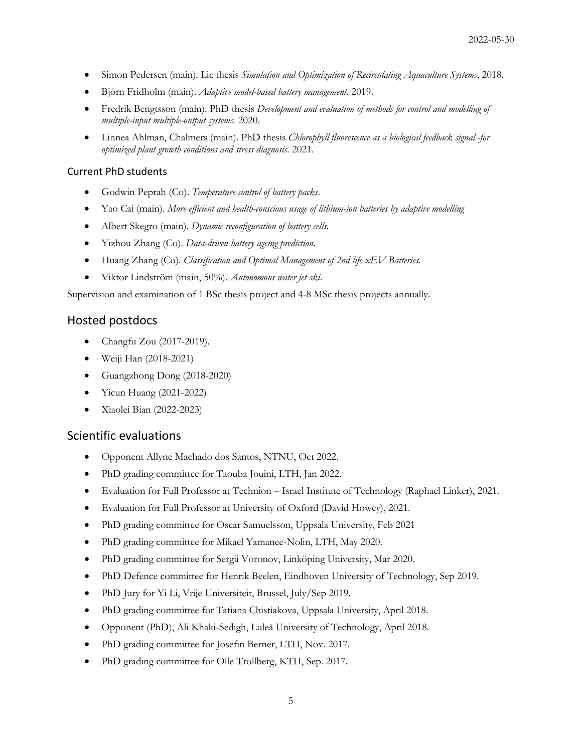- Simon Pedersen (main). Lic thesis *Simulation and Optimization of Recirculating Aquaculture Systems*, 2018.
- Björn Fridholm (main). *Adaptive model-based battery management.* 2019.
- Fredrik Bengtsson (main). PhD thesis *Development and evaluation of methods for control and modelling of multiple-input multiple-output systems.* 2020.
- Linnea Ahlman, Chalmers (main). PhD thesis *Chlorophyll fluorescence as a biological feedback signal -for optimized plant growth conditions and stress diagnosis*. 2021.

#### Current PhD students

- Godwin Peprah (Co). *Temperature control of battery packs*.
- Yao Cai (main). *More efficient and health-conscious usage of lithium-ion batteries by adaptive modelling*
- Albert Skegro (main). *Dynamic reconfiguration of battery cells.*
- Yizhou Zhang (Co). *Data-driven battery ageing prediction*.
- Huang Zhang (Co). *Classification and Optimal Management of 2nd life xEV Batteries.*
- Viktor Lindström (main, 50%). *Autonomous water jet ski*.

Supervision and examination of 1 BSc thesis project and 4-8 MSc thesis projects annually.

### Hosted postdocs

- Changfu Zou (2017-2019).
- Weiji Han (2018-2021)
- Guangzhong Dong (2018-2020)
- Yicun Huang (2021-2022)
- Xiaolei Bian (2022-2023)

#### Scientific evaluations

- Opponent Allyne Machado dos Santos, NTNU, Oct 2022.
- PhD grading committee for Taouba Jouini, LTH, Jan 2022.
- Evaluation for Full Professor at Technion Israel Institute of Technology (Raphael Linker), 2021.
- Evaluation for Full Professor at University of Oxford (David Howey), 2021.
- PhD grading committee for Oscar Samuelsson, Uppsala University, Feb 2021
- PhD grading committee for Mikael Yamanee-Nolin, LTH, May 2020.
- PhD grading committee for Sergii Voronov, Linköping University, Mar 2020.
- PhD Defence committee for Henrik Beelen, Eindhoven University of Technology, Sep 2019.
- PhD Jury for Yi Li, Vrije Universiteit, Brussel, July/Sep 2019.
- PhD grading committee for Tatiana Chistiakova, Uppsala University, April 2018.
- Opponent (PhD), Ali Khaki-Sedigh, Luleå University of Technology, April 2018.
- PhD grading committee for Josefin Berner, LTH, Nov. 2017.
- PhD grading committee for Olle Trollberg, KTH, Sep. 2017.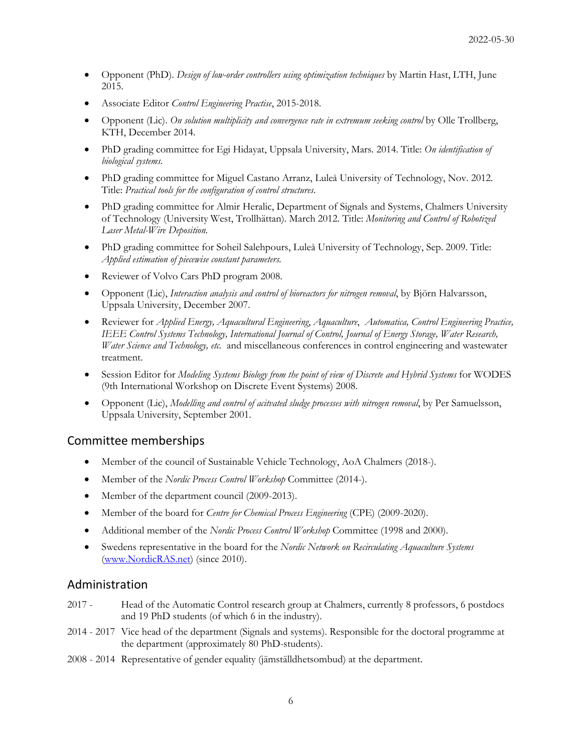- Opponent (PhD). *Design of low-order controllers using optimization techniques* by Martin Hast, LTH, June 2015.
- Associate Editor *Control Engineering Practise*, 2015-2018.
- Opponent (Lic). *On solution multiplicity and convergence rate in extremum seeking control* by Olle Trollberg, KTH, December 2014.
- PhD grading committee for Egi Hidayat, Uppsala University, Mars. 2014. Title: *On identification of biological systems.*
- PhD grading committee for Miguel Castano Arranz, Luleå University of Technology, Nov. 2012. Title: *Practical tools for the configuration of control structures*.
- PhD grading committee for Almir Heralic, Department of Signals and Systems, Chalmers University of Technology (University West, Trollhättan). March 2012. Title: *Monitoring and Control of Robotized Laser Metal-Wire Deposition.*
- PhD grading committee for Soheil Salehpours, Luleå University of Technology, Sep. 2009. Title: *Applied estimation of piecewise constant parameters.*
- Reviewer of Volvo Cars PhD program 2008.
- Opponent (Lic), *Interaction analysis and control of bioreactors for nitrogen removal*, by Björn Halvarsson, Uppsala University, December 2007.
- Reviewer for *Applied Energy, Aquacultural Engineering*, *Aquaculture*, *Automatica, Control Engineering Practice, IEEE Control Systems Technology, International Journal of Control, Journal of Energy Storage, Water Research, Water Science and Technology, etc.* and miscellaneous conferences in control engineering and wastewater treatment.
- Session Editor for *Modeling Systems Biology from the point of view of Discrete and Hybrid Systems* for WODES (9th International Workshop on Discrete Event Systems) 2008.
- Opponent (Lic), *Modelling and control of acitvated sludge processes with nitrogen removal*, by Per Samuelsson, Uppsala University, September 2001.

## Committee memberships

- Member of the council of Sustainable Vehicle Technology, AoA Chalmers (2018-).
- Member of the *Nordic Process Control Workshop* Committee (2014-).
- Member of the department council (2009-2013).
- Member of the board for *Centre for Chemical Process Engineering* (CPE) (2009-2020).
- Additional member of the *Nordic Process Control Workshop* Committee (1998 and 2000).
- Swedens representative in the board for the *Nordic Network on Recirculating Aquaculture Systems* [\(www.NordicRAS.net\)](http://www.nordicras.net/) (since 2010).

### Administration

- 2017 Head of the Automatic Control research group at Chalmers, currently 8 professors, 6 postdocs and 19 PhD students (of which 6 in the industry).
- 2014 2017 Vice head of the department (Signals and systems). Responsible for the doctoral programme at the department (approximately 80 PhD-students).
- 2008 2014 Representative of gender equality (jämställdhetsombud) at the department.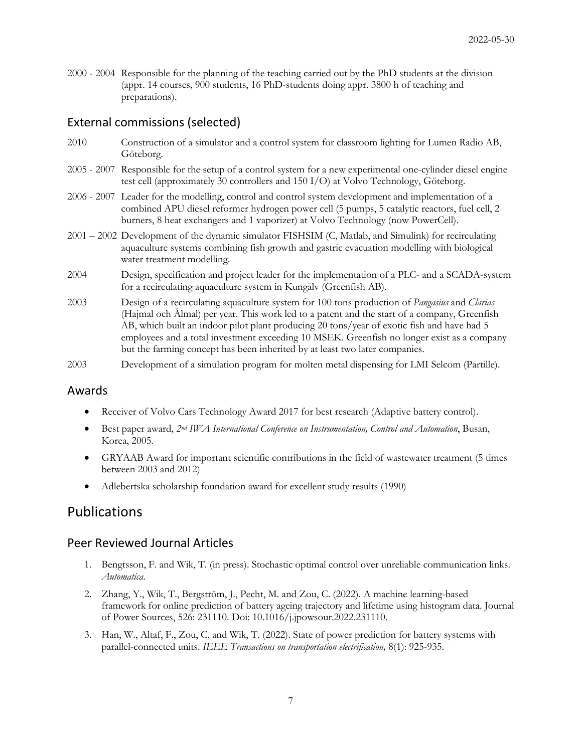2000 - 2004 Responsible for the planning of the teaching carried out by the PhD students at the division (appr. 14 courses, 900 students, 16 PhD-students doing appr. 3800 h of teaching and preparations).

## External commissions (selected)

- 2010 Construction of a simulator and a control system for classroom lighting for Lumen Radio AB, Göteborg.
- 2005 2007 Responsible for the setup of a control system for a new experimental one-cylinder diesel engine test cell (approximately 30 controllers and 150 I/O) at Volvo Technology, Göteborg.
- 2006 2007 Leader for the modelling, control and control system development and implementation of a combined APU diesel reformer hydrogen power cell (5 pumps, 5 catalytic reactors, fuel cell, 2 burners, 8 heat exchangers and 1 vaporizer) at Volvo Technology (now PowerCell).
- 2001 2002 Development of the dynamic simulator FISHSIM (C, Matlab, and Simulink) for recirculating aquaculture systems combining fish growth and gastric evacuation modelling with biological water treatment modelling.
- 2004 Design, specification and project leader for the implementation of a PLC- and a SCADA-system for a recirculating aquaculture system in Kungälv (Greenfish AB).
- 2003 Design of a recirculating aquaculture system for 100 tons production of *Pangasius* and *Clarias* (Hajmal och Ålmal) per year. This work led to a patent and the start of a company, Greenfish AB, which built an indoor pilot plant producing 20 tons/year of exotic fish and have had 5 employees and a total investment exceeding 10 MSEK. Greenfish no longer exist as a company but the farming concept has been inherited by at least two later companies.
- 2003 Development of a simulation program for molten metal dispensing for LMI Selcom (Partille).

## Awards

- Receiver of Volvo Cars Technology Award 2017 for best research (Adaptive battery control).
- Best paper award, *2nd IWA International Conference on Instrumentation, Control and Automation*, Busan, Korea, 2005.
- GRYAAB Award for important scientific contributions in the field of wastewater treatment (5 times between 2003 and 2012)
- Adlebertska scholarship foundation award for excellent study results (1990)

# Publications

## Peer Reviewed Journal Articles

- 1. Bengtsson, F. and Wik, T. (in press). Stochastic optimal control over unreliable communication links. *Automatica*.
- 2. Zhang, Y., Wik, T., Bergström, J., Pecht, M. and Zou, C. (2022). A machine learning-based framework for online prediction of battery ageing trajectory and lifetime using histogram data. Journal of Power Sources, 526: 231110. Doi: 10.1016/j.jpowsour.2022.231110.
- 3. Han, W., Altaf, F., Zou, C. and Wik, T. (2022). State of power prediction for battery systems with parallel-connected units. *IEEE Transactions on transportation electrification,* 8(1): 925-935.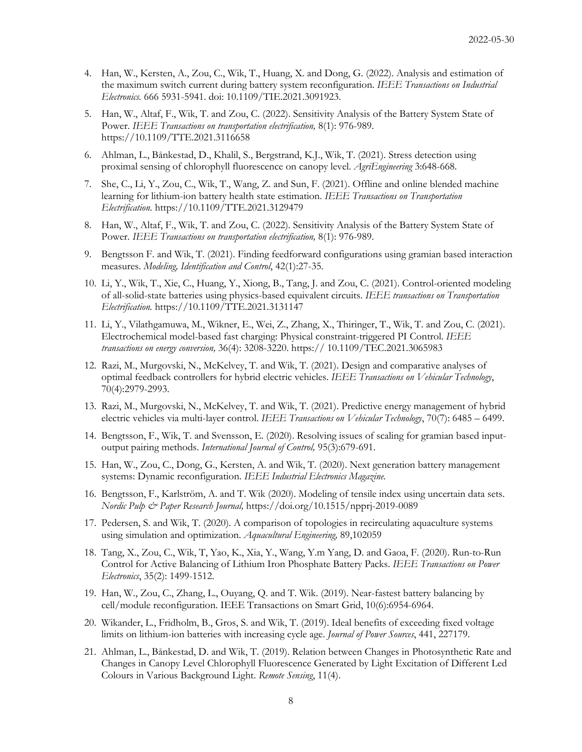- 4. Han, W., Kersten, A., Zou, C., Wik, T., Huang, X. and Dong, G. (2022). Analysis and estimation of the maximum switch current during battery system reconfiguration. *IEEE Transactions on Industrial Electronics.* 666 5931-5941. doi: 10.1109/TIE.2021.3091923.
- 5. Han, W., Altaf, F., Wik, T. and Zou, C. (2022). Sensitivity Analysis of the Battery System State of Power. *IEEE Transactions on transportation electrification,* 8(1): 976-989. https://10.1109/TTE.2021.3116658
- 6. Ahlman, L., Bånkestad, D., Khalil, S., Bergstrand, K.J., Wik, T. (2021). Stress detection using proximal sensing of chlorophyll fluorescence on canopy level. *AgriEngineering* 3:648-668.
- 7. She, C., Li, Y., Zou, C., Wik, T., Wang, Z. and Sun, F. (2021). Offline and online blended machine learning for lithium-ion battery health state estimation. *IEEE Transactions on Transportation Electrification.* https://10.1109/TTE.2021.3129479
- 8. Han, W., Altaf, F., Wik, T. and Zou, C. (2022). Sensitivity Analysis of the Battery System State of Power. *IEEE Transactions on transportation electrification,* 8(1): 976-989.
- 9. Bengtsson F. and Wik, T. (2021). Finding feedforward configurations using gramian based interaction measures. *Modeling, Identification and Control*, 42(1):27-35.
- 10. Li, Y., Wik, T., Xie, C., Huang, Y., Xiong, B., Tang, J. and Zou, C. (2021). Control-oriented modeling of all-solid-state batteries using physics-based equivalent circuits. *IEEE transactions on Transportation Electrification.* https://10.1109/TTE.2021.3131147
- 11. Li, Y., Vilathgamuwa, M., Wikner, E., Wei, Z., Zhang, X., Thiringer, T., Wik, T. and Zou, C. (2021). Electrochemical model-based fast charging: Physical constraint-triggered PI Control. *IEEE transactions on energy conversion,* 36(4): 3208-3220. https:// 10.1109/TEC.2021.3065983
- 12. Razi, M., Murgovski, N., McKelvey, T. and Wik, T. (2021). Design and comparative analyses of optimal feedback controllers for hybrid electric vehicles. *IEEE Transactions on Vehicular Technology*, 70(4):2979-2993.
- 13. Razi, M., Murgovski, N., McKelvey, T. and Wik, T. (2021). Predictive energy management of hybrid electric vehicles via multi-layer control. *IEEE Transactions on Vehicular Technology*, 70(7): 6485 – 6499.
- 14. Bengtsson, F., Wik, T. and Svensson, E. (2020). Resolving issues of scaling for gramian based inputoutput pairing methods. *International Journal of Control,* 95(3):679-691.
- 15. Han, W., Zou, C., Dong, G., Kersten, A. and Wik, T. (2020). Next generation battery management systems: Dynamic reconfiguration. *IEEE Industrial Electronics Magazine.*
- 16. Bengtsson, F., Karlström, A. and T. Wik (2020). Modeling of tensile index using uncertain data sets. *Nordic Pulp & Paper Research Journal,* https://doi.org/10.1515/npprj-2019-0089
- 17. Pedersen, S. and Wik, T. (2020). A comparison of topologies in recirculating aquaculture systems using simulation and optimization. *Aquacultural Engineering,* 89,102059
- 18. Tang, X., Zou, C., Wik, T, Yao, K., Xia, Y., Wang, Y.m Yang, D. and Gaoa, F. (2020). Run-to-Run Control for Active Balancing of Lithium Iron Phosphate Battery Packs. *IEEE Transactions on Power Electronics*, 35(2): 1499-1512.
- 19. Han, W., Zou, C., Zhang, L., Ouyang, Q. and T. Wik. (2019). Near-fastest battery balancing by cell/module reconfiguration. IEEE Transactions on Smart Grid, 10(6):6954-6964.
- 20. Wikander, L., Fridholm, B., Gros, S. and Wik, T. (2019). Ideal benefits of exceeding fixed voltage limits on lithium-ion batteries with increasing cycle age. *Journal of Power Sources*, 441, 227179.
- 21. Ahlman, L., Bånkestad, D. and Wik, T. (2019). Relation between Changes in Photosynthetic Rate and Changes in Canopy Level Chlorophyll Fluorescence Generated by Light Excitation of Different Led Colours in Various Background Light. *Remote Sensing*, 11(4).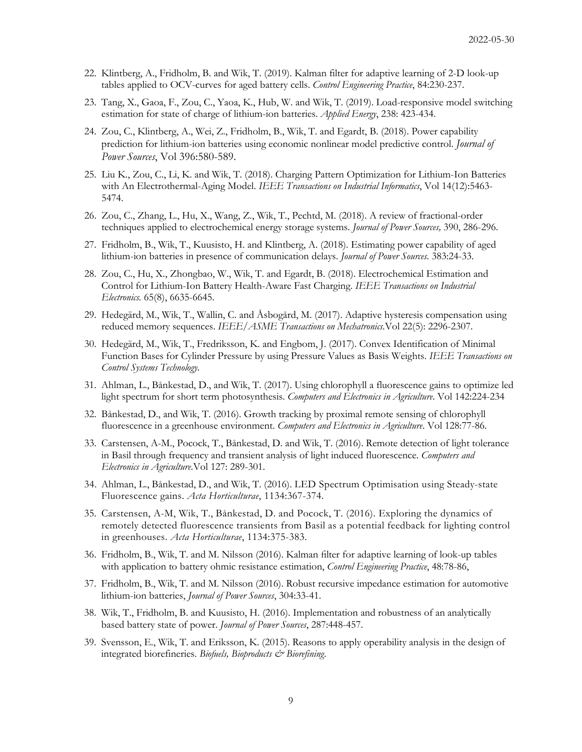- 22. Klintberg, A., Fridholm, B. and Wik, T. (2019). Kalman filter for adaptive learning of 2-D look-up tables applied to OCV-curves for aged battery cells. *Control Engineering Practice*, 84:230-237.
- 23. Tang, X., Gaoa, F., Zou, C., Yaoa, K., Hub, W. and Wik, T. (2019). Load-responsive model switching estimation for state of charge of lithium-ion batteries. *Applied Energy*, 238: 423-434.
- 24. Zou, C., Klintberg, A., Wei, Z., Fridholm, B., Wik, T. and Egardt, B. (2018). Power capability prediction for lithium-ion batteries using economic nonlinear model predictive control. *Journal of Power Sources*, Vol 396:580-589.
- 25. Liu K., Zou, C., Li, K. and Wik, T. (2018). Charging Pattern Optimization for Lithium-Ion Batteries with An Electrothermal-Aging Model. *IEEE Transactions on Industrial Informatics*, Vol 14(12):5463- 5474.
- 26. Zou, C., Zhang, L., Hu, X., Wang, Z., Wik, T., Pechtd, M. (2018). A review of fractional-order techniques applied to electrochemical energy storage systems. *Journal of Power Sources,* 390, 286-296.
- 27. Fridholm, B., Wik, T., Kuusisto, H. and Klintberg, A. (2018). Estimating power capability of aged lithium-ion batteries in presence of communication delays. *Journal of Power Sources.* 383:24-33.
- 28. Zou, C., Hu, X., Zhongbao, W., Wik, T. and Egardt, B. (2018). Electrochemical Estimation and Control for Lithium-Ion Battery Health-Aware Fast Charging. *IEEE Transactions on Industrial Electronics.* 65(8), 6635-6645.
- 29. Hedegärd, M., Wik, T., Wallin, C. and Åsbogård, M. (2017). Adaptive hysteresis compensation using reduced memory sequences. *IEEE/ASME Transactions on Mechatronics.*Vol 22(5): 2296-2307.
- 30. Hedegärd, M., Wik, T., Fredriksson, K. and Engbom, J. (2017). Convex Identification of Minimal Function Bases for Cylinder Pressure by using Pressure Values as Basis Weights. *IEEE Transactions on Control Systems Technology.*
- 31. Ahlman, L., Bånkestad, D., and Wik, T. (2017). Using chlorophyll a fluorescence gains to optimize led light spectrum for short term photosynthesis. *Computers and Electronics in Agriculture*. Vol 142:224-234
- 32. Bånkestad, D., and Wik, T. (2016). Growth tracking by proximal remote sensing of chlorophyll fluorescence in a greenhouse environment. *Computers and Electronics in Agriculture*. Vol 128:77-86.
- 33. Carstensen, A-M., Pocock, T., Bånkestad, D. and Wik, T. (2016). Remote detection of light tolerance in Basil through frequency and transient analysis of light induced fluorescence. *Computers and Electronics in Agriculture*.Vol 127: 289-301.
- 34. Ahlman, L., Bånkestad, D., and Wik, T. (2016). LED Spectrum Optimisation using Steady-state Fluorescence gains. *Acta Horticulturae*, 1134:367-374.
- 35. Carstensen, A-M, Wik, T., Bånkestad, D. and Pocock, T. (2016). Exploring the dynamics of remotely detected fluorescence transients from Basil as a potential feedback for lighting control in greenhouses. *Acta Horticulturae*, 1134:375-383.
- 36. Fridholm, B., Wik, T. and M. Nilsson (2016). Kalman filter for adaptive learning of look-up tables with application to battery ohmic resistance estimation, *Control Engineering Practice*, 48:78-86,
- 37. Fridholm, B., Wik, T. and M. Nilsson (2016). Robust recursive impedance estimation for automotive lithium-ion batteries, *Journal of Power Sources*, 304:33-41.
- 38. Wik, T., Fridholm, B. and Kuusisto, H. (2016). Implementation and robustness of an analytically based battery state of power. *Journal of Power Sources*, 287:448-457.
- 39. Svensson, E., Wik, T. and Eriksson, K. (2015). Reasons to apply operability analysis in the design of integrated biorefineries. *Biofuels, Bioproducts & Biorefining*.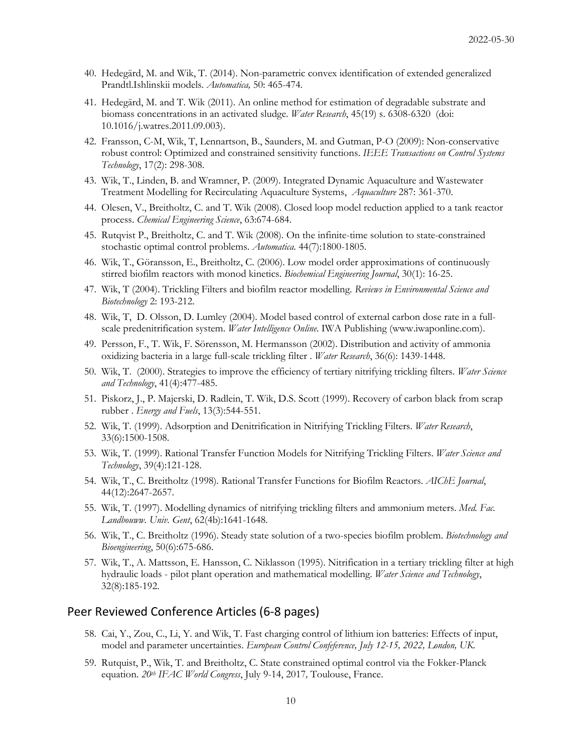- 40. Hedegärd, M. and Wik, T. (2014). Non-parametric convex identification of extended generalized Prandtl.Ishlinskii models. *Automatica,* 50: 465-474*.*
- 41. Hedegärd, M. and T. Wik (2011). An online method for estimation of degradable substrate and biomass concentrations in an activated sludge. *Water Research*, 45(19) s. 6308-6320 (doi: 10.1016/j.watres.2011.09.003).
- 42. Fransson, C-M, Wik, T, Lennartson, B., Saunders, M. and Gutman, P-O (2009): Non-conservative robust control: Optimized and constrained sensitivity functions. *IEEE Transactions on Control Systems Technology*, 17(2): 298-308.
- 43. Wik, T., Linden, B. and Wramner, P. (2009). Integrated Dynamic Aquaculture and Wastewater Treatment Modelling for Recirculating Aquaculture Systems, *Aquaculture* 287: 361-370.
- 44. Olesen, V., Breitholtz, C. and T. Wik (2008). Closed loop model reduction applied to a tank reactor process. *Chemical Engineering Science*, 63:674-684.
- 45. Rutqvist P., Breitholtz, C. and T. Wik (2008). On the infinite-time solution to state-constrained stochastic optimal control problems. *Automatica*. 44(7):1800-1805.
- 46. Wik, T., Göransson, E., Breitholtz, C. (2006). Low model order approximations of continuously stirred biofilm reactors with monod kinetics. *Biochemical Engineering Journal*, 30(1): 16-25.
- 47. Wik, T (2004). Trickling Filters and biofilm reactor modelling. *Reviews in Environmental Science and Biotechnology* 2: 193-212.
- 48. Wik, T, D. Olsson, D. Lumley (2004). Model based control of external carbon dose rate in a fullscale predenitrification system. *Water Intelligence Online*. IWA Publishing (www.iwaponline.com).
- 49. Persson, F., T. Wik, F. Sörensson, M. Hermansson (2002). Distribution and activity of ammonia oxidizing bacteria in a large full-scale trickling filter . *Water Research*, 36(6): 1439-1448.
- 50. Wik, T. (2000). Strategies to improve the efficiency of tertiary nitrifying trickling filters. *Water Science and Technology*, 41(4):477-485.
- 51. Piskorz, J., P. Majerski, D. Radlein, T. Wik, D.S. Scott (1999). Recovery of carbon black from scrap rubber . *Energy and Fuels*, 13(3):544-551.
- 52. Wik, T. (1999). Adsorption and Denitrification in Nitrifying Trickling Filters. *Water Research*, 33(6):1500-1508.
- 53. Wik, T. (1999). Rational Transfer Function Models for Nitrifying Trickling Filters. *Water Science and Technology*, 39(4):121-128.
- 54. Wik, T., C. Breitholtz (1998). Rational Transfer Functions for Biofilm Reactors. *AIChE Journal*, 44(12):2647-2657.
- 55. Wik, T. (1997). Modelling dynamics of nitrifying trickling filters and ammonium meters. *Med. Fac. Landbouww. Univ. Gent*, 62(4b):1641-1648.
- 56. Wik, T., C. Breitholtz (1996). Steady state solution of a two-species biofilm problem. *Biotechnology and Bioengineering*, 50(6):675-686.
- 57. Wik, T., A. Mattsson, E. Hansson, C. Niklasson (1995). Nitrification in a tertiary trickling filter at high hydraulic loads - pilot plant operation and mathematical modelling. *Water Science and Technology*, 32(8):185-192.

#### Peer Reviewed Conference Articles (6-8 pages)

- 58. Cai, Y., Zou, C., Li, Y. and Wik, T. Fast charging control of lithium ion batteries: Effects of input, model and parameter uncertainties. *European Control Confeference, July 12-15, 2022, London, UK.*
- 59. Rutquist, P., Wik, T. and Breitholtz, C. State constrained optimal control via the Fokker-Planck equation. *20th IFAC World Congress*, July 9-14, 2017*,* Toulouse, France.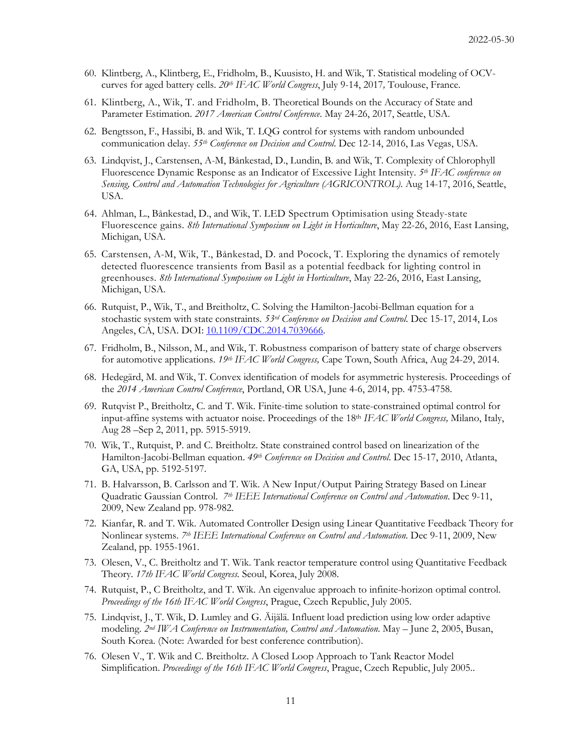- 60. Klintberg, A., Klintberg, E., Fridholm, B., Kuusisto, H. and Wik, T. Statistical modeling of OCVcurves for aged battery cells. *20th IFAC World Congress*, July 9-14, 2017*,* Toulouse, France.
- 61. Klintberg, A., Wik, T. and Fridholm, B. Theoretical Bounds on the Accuracy of State and Parameter Estimation. *2017 American Control Conference*. May 24-26, 2017, Seattle, USA.
- 62. Bengtsson, F., Hassibi, B. and Wik, T. LQG control for systems with random unbounded communication delay. *55th Conference on Decision and Control*. Dec 12-14, 2016, Las Vegas, USA.
- 63. Lindqvist, J., Carstensen, A-M, Bånkestad, D., Lundin, B. and Wik, T. Complexity of Chlorophyll Fluorescence Dynamic Response as an Indicator of Excessive Light Intensity. *5th IFAC conference on Sensing, Control and Automation Technologies for Agriculture (AGRICONTROL)*. Aug 14-17, 2016, Seattle, USA.
- 64. Ahlman, L., Bånkestad, D., and Wik, T. LED Spectrum Optimisation using Steady-state Fluorescence gains. *8th International Symposium on Light in Horticulture*, May 22-26, 2016, East Lansing, Michigan, USA.
- 65. Carstensen, A-M, Wik, T., Bånkestad, D. and Pocock, T. Exploring the dynamics of remotely detected fluorescence transients from Basil as a potential feedback for lighting control in greenhouses. *8th International Symposium on Light in Horticulture*, May 22-26, 2016, East Lansing, Michigan, USA.
- 66. Rutquist, P., Wik, T., and Breitholtz, C. Solving the Hamilton-Jacobi-Bellman equation for a stochastic system with state constraints*. 53rd Conference on Decision and Control*. Dec 15-17, 2014, Los Angeles, CA, USA. DOI: [10.1109/CDC.2014.7039666.](http://dx.doi.org/10.1109/CDC.2014.7039666)
- 67. Fridholm, B., Nilsson, M., and Wik, T. Robustness comparison of battery state of charge observers for automotive applications. *19th IFAC World Congress,* Cape Town, South Africa, Aug 24-29, 2014.
- 68. Hedegärd, M. and Wik, T. Convex identification of models for asymmetric hysteresis. Proceedings of the *2014 American Control Conference*, Portland, OR USA, June 4-6, 2014, pp. 4753-4758.
- 69. Rutqvist P., Breitholtz, C. and T. Wik. Finite-time solution to state-constrained optimal control for input-affine systems with actuator noise. Proceedings of the 18th *IFAC World Congress,* Milano, Italy, Aug 28 –Sep 2, 2011, pp. 5915-5919.
- 70. Wik, T., Rutquist, P. and C. Breitholtz. State constrained control based on linearization of the Hamilton-Jacobi-Bellman equation. *49th Conference on Decision and Control*. Dec 15-17, 2010, Atlanta, GA, USA, pp. 5192-5197.
- 71. B. Halvarsson, B. Carlsson and T. Wik. A New Input/Output Pairing Strategy Based on Linear Quadratic Gaussian Control. *7th IEEE International Conference on Control and Automation*. Dec 9-11, 2009, New Zealand pp. 978-982.
- 72. Kianfar, R. and T. Wik. Automated Controller Design using Linear Quantitative Feedback Theory for Nonlinear systems. *7th IEEE International Conference on Control and Automation*. Dec 9-11, 2009, New Zealand, pp. 1955-1961.
- 73. Olesen, V., C. Breitholtz and T. Wik. Tank reactor temperature control using Quantitative Feedback Theory. *17th IFAC World Congress.* Seoul, Korea, July 2008.
- 74. Rutquist, P., C Breitholtz, and T. Wik. An eigenvalue approach to infinite-horizon optimal control. *Proceedings of the 16th IFAC World Congress*, Prague, Czech Republic, July 2005.
- 75. Lindqvist, J., T. Wik, D. Lumley and G. Äijälä. Influent load prediction using low order adaptive modeling. *2nd IWA Conference on Instrumentation, Control and Automation*. May – June 2, 2005, Busan, South Korea. (Note: Awarded for best conference contribution).
- 76. Olesen V., T. Wik and C. Breitholtz. A Closed Loop Approach to Tank Reactor Model Simplification. *Proceedings of the 16th IFAC World Congress*, Prague, Czech Republic, July 2005..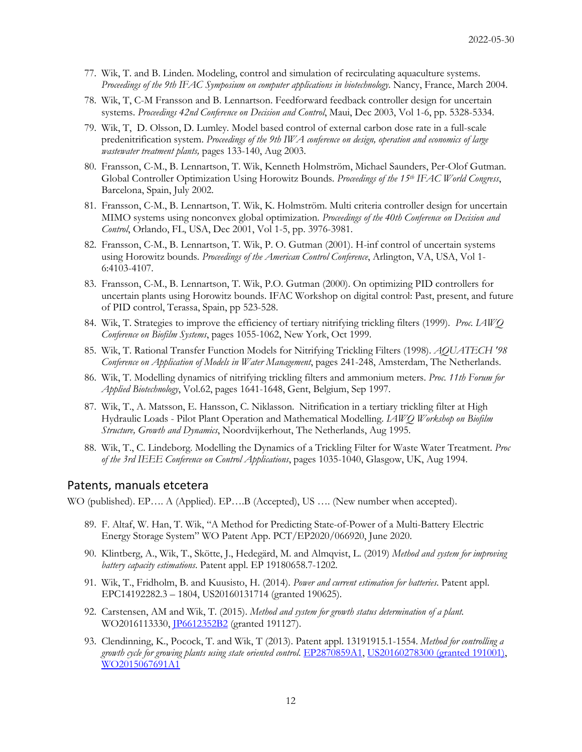- 77. Wik, T. and B. Linden. Modeling, control and simulation of recirculating aquaculture systems. *Proceedings of the 9th IFAC Symposium on computer applications in biotechnology*. Nancy, France, March 2004.
- 78. Wik, T, C-M Fransson and B. Lennartson. Feedforward feedback controller design for uncertain systems. *Proceedings 42nd Conference on Decision and Control*, Maui, Dec 2003, Vol 1-6, pp. 5328-5334.
- 79. Wik, T, D. Olsson, D. Lumley. Model based control of external carbon dose rate in a full-scale predenitrification system. *Proceedings of the 9th IWA conference on design, operation and economics of large wastewater treatment plants,* pages 133-140, Aug 2003.
- 80. Fransson, C-M., B. Lennartson, T. Wik, Kenneth Holmström, Michael Saunders, Per-Olof Gutman. Global Controller Optimization Using Horowitz Bounds. *Proceedings of the 15th IFAC World Congress*, Barcelona, Spain, July 2002.
- 81. Fransson, C-M., B. Lennartson, T. Wik, K. Holmström. Multi criteria controller design for uncertain MIMO systems using nonconvex global optimization*. Proceedings of the 40th Conference on Decision and Control*, Orlando, FL, USA, Dec 2001, Vol 1-5, pp. 3976-3981.
- 82. Fransson, C-M., B. Lennartson, T. Wik, P. O. Gutman (2001). H-inf control of uncertain systems using Horowitz bounds*. Proceedings of the American Control Conference*, Arlington, VA, USA, Vol 1- 6:4103-4107.
- 83. Fransson, C-M., B. Lennartson, T. Wik, P.O. Gutman (2000). On optimizing PID controllers for uncertain plants using Horowitz bounds. IFAC Workshop on digital control: Past, present, and future of PID control, Terassa, Spain, pp 523-528.
- 84. Wik, T. Strategies to improve the efficiency of tertiary nitrifying trickling filters (1999). *Proc. IAWQ Conference on Biofilm Systems*, pages 1055-1062, New York, Oct 1999.
- 85. Wik, T. Rational Transfer Function Models for Nitrifying Trickling Filters (1998). *AQUATECH '98 Conference on Application of Models in Water Management*, pages 241-248, Amsterdam, The Netherlands.
- 86. Wik, T. Modelling dynamics of nitrifying trickling filters and ammonium meters. *Proc. 11th Forum for Applied Biotechnology*, Vol.62, pages 1641-1648, Gent, Belgium, Sep 1997.
- 87. Wik, T., A. Matsson, E. Hansson, C. Niklasson. Nitrification in a tertiary trickling filter at High Hydraulic Loads - Pilot Plant Operation and Mathematical Modelling. *IAWQ Workshop on Biofilm Structure, Growth and Dynamics*, Noordvijkerhout, The Netherlands, Aug 1995.
- 88. Wik, T., C. Lindeborg. Modelling the Dynamics of a Trickling Filter for Waste Water Treatment. *Proc of the 3rd IEEE Conference on Control Applications*, pages 1035-1040, Glasgow, UK, Aug 1994.

#### Patents, manuals etcetera

WO (published). EP…. A (Applied). EP….B (Accepted), US …. (New number when accepted).

- 89. F. Altaf, W. Han, T. Wik, "A Method for Predicting State-of-Power of a Multi-Battery Electric Energy Storage System" WO Patent App. PCT/EP2020/066920, June 2020.
- 90. Klintberg, A., Wik, T., Skötte, J., Hedegärd, M. and Almqvist, L. (2019) *Method and system for improving battery capacity estimations*. Patent appl. EP 19180658.7-1202.
- 91. Wik, T., Fridholm, B. and Kuusisto, H. (2014). *Power and current estimation for batteries*. Patent appl. EPC14192282.3 *–* 1804, US20160131714 (granted 190625)*.*
- 92. Carstensen, AM and Wik, T. (2015). *Method and system for growth status determination of a plant.*  WO2016113330, [JP6612352B2](https://patents.google.com/patent/JP6612352B2/en?oq=WO2016113330) (granted 191127).
- 93. Clendinning, K., Pocock, T. and Wik, T (2013). Patent appl. 13191915.1-1554. *Method for controlling a growth cycle for growing plants using state oriented control*. [EP2870859A1,](https://encrypted.google.com/patents/EP2870859A1?hl=sv&cl=und) [US20160278300](https://encrypted.google.com/patents/US20160278300?hl=sv&cl=und) (granted 191001), [WO2015067691A1](https://encrypted.google.com/patents/WO2015067691A1?hl=sv&cl=und)